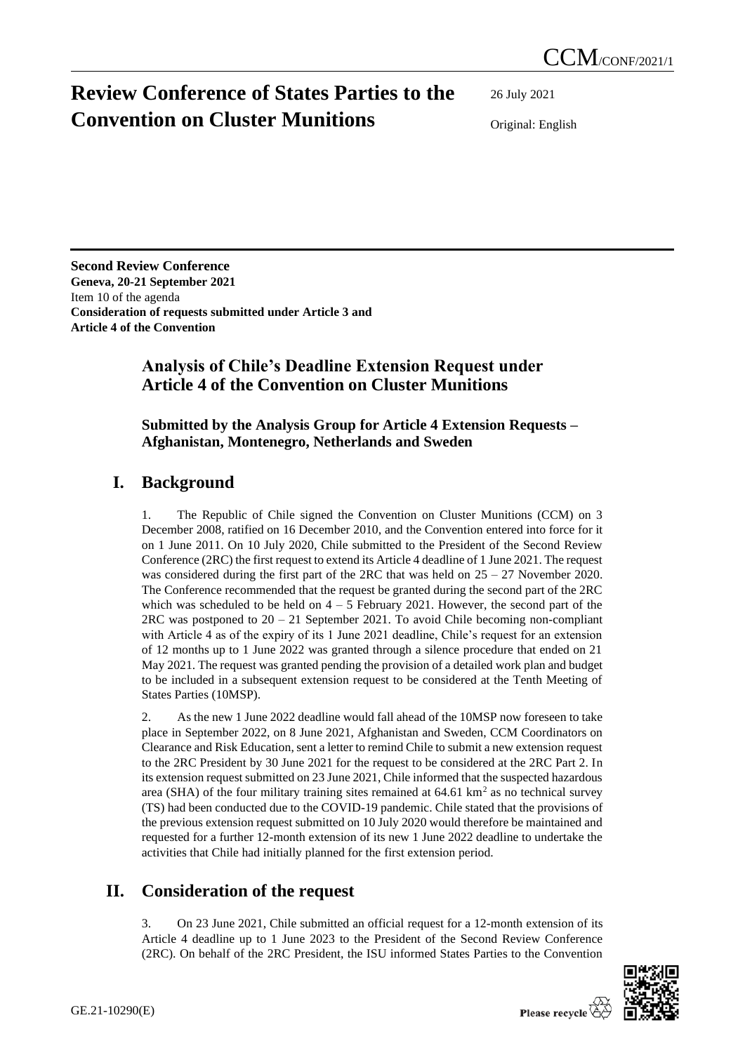# **Review Conference of States Parties to the Convention on Cluster Munitions**

26 July 2021

Original: English

**Second Review Conference Geneva, 20-21 September 2021** Item 10 of the agenda **Consideration of requests submitted under Article 3 and Article 4 of the Convention**

### **Analysis of Chile's Deadline Extension Request under Article 4 of the Convention on Cluster Munitions**

**Submitted by the Analysis Group for Article 4 Extension Requests – Afghanistan, Montenegro, Netherlands and Sweden**

### **I. Background**

1. The Republic of Chile signed the Convention on Cluster Munitions (CCM) on 3 December 2008, ratified on 16 December 2010, and the Convention entered into force for it on 1 June 2011. On 10 July 2020, Chile submitted to the President of the Second Review Conference (2RC) the first request to extend its Article 4 deadline of 1 June 2021. The request was considered during the first part of the 2RC that was held on  $25 - 27$  November 2020. The Conference recommended that the request be granted during the second part of the 2RC which was scheduled to be held on  $4 - 5$  February 2021. However, the second part of the  $2RC$  was postponed to  $20 - 21$  September 2021. To avoid Chile becoming non-compliant with Article 4 as of the expiry of its 1 June 2021 deadline, Chile's request for an extension of 12 months up to 1 June 2022 was granted through a silence procedure that ended on 21 May 2021. The request was granted pending the provision of a detailed work plan and budget to be included in a subsequent extension request to be considered at the Tenth Meeting of States Parties (10MSP).

2. As the new 1 June 2022 deadline would fall ahead of the 10MSP now foreseen to take place in September 2022, on 8 June 2021, Afghanistan and Sweden, CCM Coordinators on Clearance and Risk Education, sent a letter to remind Chile to submit a new extension request to the 2RC President by 30 June 2021 for the request to be considered at the 2RC Part 2. In its extension request submitted on 23 June 2021, Chile informed that the suspected hazardous area (SHA) of the four military training sites remained at  $64.61 \text{ km}^2$  as no technical survey (TS) had been conducted due to the COVID-19 pandemic. Chile stated that the provisions of the previous extension request submitted on 10 July 2020 would therefore be maintained and requested for a further 12-month extension of its new 1 June 2022 deadline to undertake the activities that Chile had initially planned for the first extension period.

## **II. Consideration of the request**

3. On 23 June 2021, Chile submitted an official request for a 12-month extension of its Article 4 deadline up to 1 June 2023 to the President of the Second Review Conference (2RC). On behalf of the 2RC President, the ISU informed States Parties to the Convention

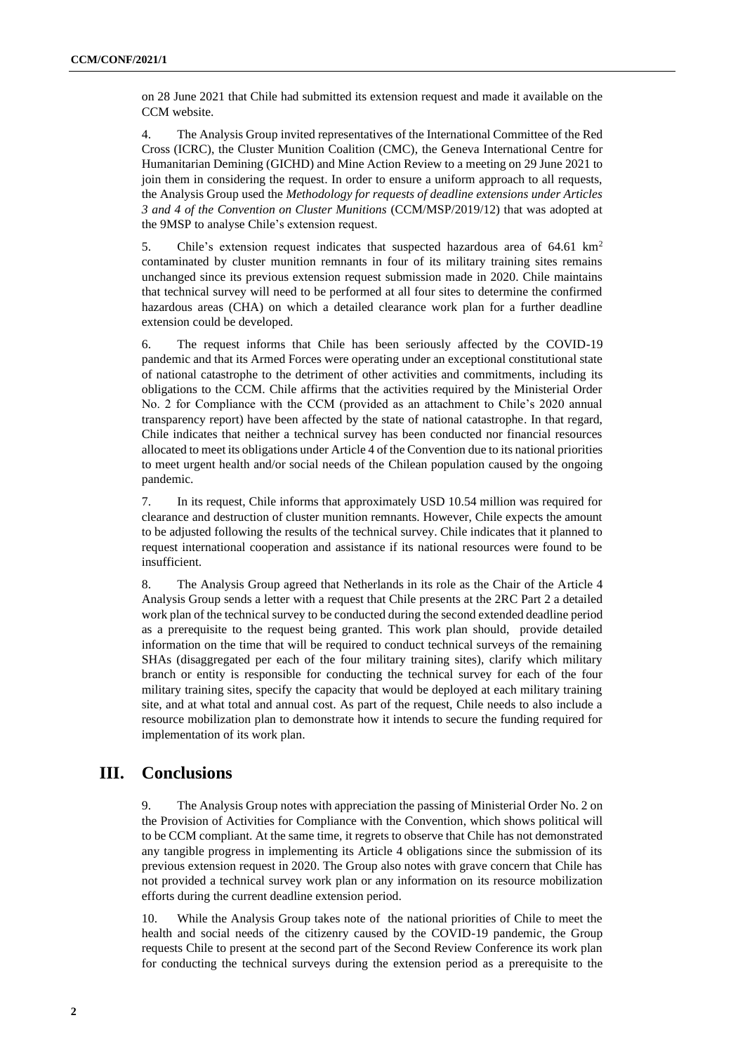on 28 June 2021 that Chile had submitted its extension request and made it available on the CCM website.

4. The Analysis Group invited representatives of the International Committee of the Red Cross (ICRC), the Cluster Munition Coalition (CMC), the Geneva International Centre for Humanitarian Demining (GICHD) and Mine Action Review to a meeting on 29 June 2021 to join them in considering the request. In order to ensure a uniform approach to all requests, the Analysis Group used the *Methodology for requests of deadline extensions under Articles 3 and 4 of the Convention on Cluster Munitions* (CCM/MSP/2019/12) that was adopted at the 9MSP to analyse Chile's extension request.

5. Chile's extension request indicates that suspected hazardous area of 64.61 km<sup>2</sup> contaminated by cluster munition remnants in four of its military training sites remains unchanged since its previous extension request submission made in 2020. Chile maintains that technical survey will need to be performed at all four sites to determine the confirmed hazardous areas (CHA) on which a detailed clearance work plan for a further deadline extension could be developed.

6. The request informs that Chile has been seriously affected by the COVID-19 pandemic and that its Armed Forces were operating under an exceptional constitutional state of national catastrophe to the detriment of other activities and commitments, including its obligations to the CCM. Chile affirms that the activities required by the Ministerial Order No. 2 for Compliance with the CCM (provided as an attachment to Chile's 2020 annual transparency report) have been affected by the state of national catastrophe. In that regard, Chile indicates that neither a technical survey has been conducted nor financial resources allocated to meet its obligations under Article 4 of the Convention due to its national priorities to meet urgent health and/or social needs of the Chilean population caused by the ongoing pandemic.

7. In its request, Chile informs that approximately USD 10.54 million was required for clearance and destruction of cluster munition remnants. However, Chile expects the amount to be adjusted following the results of the technical survey. Chile indicates that it planned to request international cooperation and assistance if its national resources were found to be insufficient.

8. The Analysis Group agreed that Netherlands in its role as the Chair of the Article 4 Analysis Group sends a letter with a request that Chile presents at the 2RC Part 2 a detailed work plan of the technical survey to be conducted during the second extended deadline period as a prerequisite to the request being granted. This work plan should, provide detailed information on the time that will be required to conduct technical surveys of the remaining SHAs (disaggregated per each of the four military training sites), clarify which military branch or entity is responsible for conducting the technical survey for each of the four military training sites, specify the capacity that would be deployed at each military training site, and at what total and annual cost. As part of the request, Chile needs to also include a resource mobilization plan to demonstrate how it intends to secure the funding required for implementation of its work plan.

#### **III. Conclusions**

9. The Analysis Group notes with appreciation the passing of Ministerial Order No. 2 on the Provision of Activities for Compliance with the Convention, which shows political will to be CCM compliant. At the same time, it regrets to observe that Chile has not demonstrated any tangible progress in implementing its Article 4 obligations since the submission of its previous extension request in 2020. The Group also notes with grave concern that Chile has not provided a technical survey work plan or any information on its resource mobilization efforts during the current deadline extension period.

10. While the Analysis Group takes note of the national priorities of Chile to meet the health and social needs of the citizenry caused by the COVID-19 pandemic, the Group requests Chile to present at the second part of the Second Review Conference its work plan for conducting the technical surveys during the extension period as a prerequisite to the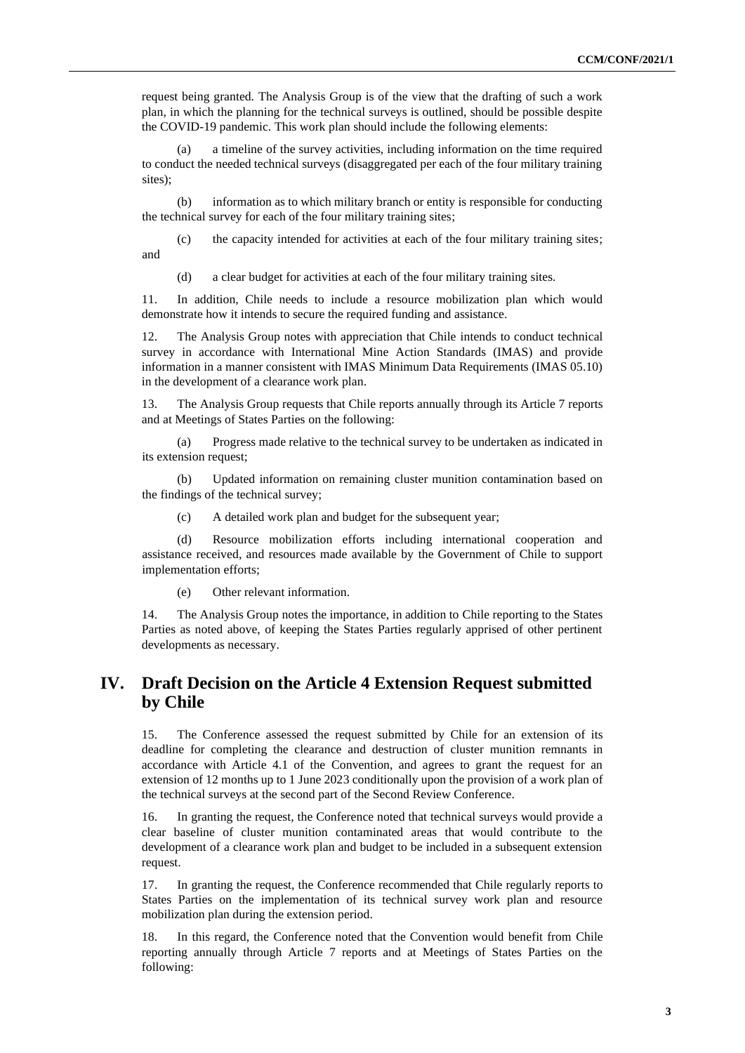request being granted. The Analysis Group is of the view that the drafting of such a work plan, in which the planning for the technical surveys is outlined, should be possible despite the COVID-19 pandemic. This work plan should include the following elements:

(a) a timeline of the survey activities, including information on the time required to conduct the needed technical surveys (disaggregated per each of the four military training sites);

(b) information as to which military branch or entity is responsible for conducting the technical survey for each of the four military training sites;

(c) the capacity intended for activities at each of the four military training sites; and

(d) a clear budget for activities at each of the four military training sites.

11. In addition, Chile needs to include a resource mobilization plan which would demonstrate how it intends to secure the required funding and assistance.

12. The Analysis Group notes with appreciation that Chile intends to conduct technical survey in accordance with International Mine Action Standards (IMAS) and provide information in a manner consistent with IMAS Minimum Data Requirements (IMAS 05.10) in the development of a clearance work plan.

13. The Analysis Group requests that Chile reports annually through its Article 7 reports and at Meetings of States Parties on the following:

(a) Progress made relative to the technical survey to be undertaken as indicated in its extension request;

(b) Updated information on remaining cluster munition contamination based on the findings of the technical survey;

(c) A detailed work plan and budget for the subsequent year;

(d) Resource mobilization efforts including international cooperation and assistance received, and resources made available by the Government of Chile to support implementation efforts;

(e) Other relevant information.

14. The Analysis Group notes the importance, in addition to Chile reporting to the States Parties as noted above, of keeping the States Parties regularly apprised of other pertinent developments as necessary.

#### **IV. Draft Decision on the Article 4 Extension Request submitted by Chile**

15. The Conference assessed the request submitted by Chile for an extension of its deadline for completing the clearance and destruction of cluster munition remnants in accordance with Article 4.1 of the Convention, and agrees to grant the request for an extension of 12 months up to 1 June 2023 conditionally upon the provision of a work plan of the technical surveys at the second part of the Second Review Conference.

16. In granting the request, the Conference noted that technical surveys would provide a clear baseline of cluster munition contaminated areas that would contribute to the development of a clearance work plan and budget to be included in a subsequent extension request.

17. In granting the request, the Conference recommended that Chile regularly reports to States Parties on the implementation of its technical survey work plan and resource mobilization plan during the extension period.

18. In this regard, the Conference noted that the Convention would benefit from Chile reporting annually through Article 7 reports and at Meetings of States Parties on the following: